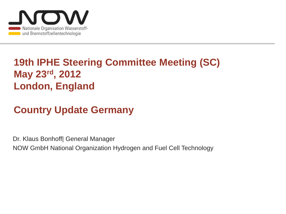

## **19th IPHE Steering Committee Meeting (SC) May 23rd, 2012 London, England**

# **Country Update Germany**

Dr. Klaus Bonhoff| General Manager NOW GmbH National Organization Hydrogen and Fuel Cell Technology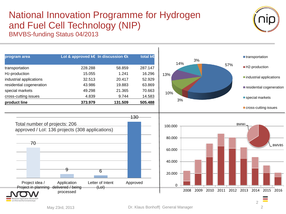#### National Innovation Programme for Hydrogen and Fuel Cell Technology (NIP) BMVBS-funding Status 04/2013



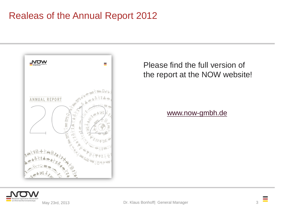### Realeas of the Annual Report 2012



Please find the full version of the report at the NOW website!

[www.now-gmbh.de](http://www.now-gmbh.de/)



May 23rd, 2013 **Dr. Klaus Bonhoff| General Manager** 3

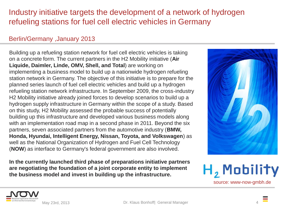#### Industry initiative targets the development of a network of hydrogen refueling stations for fuel cell electric vehicles in Germany

#### Berlin/Germany ,January 2013

Building up a refueling station network for fuel cell electric vehicles is taking on a concrete form. The current partners in the H2 Mobility initiative (**Air Liquide, Daimler, Linde, OMV, Shell, and Total**) are working on implementing a business model to build up a nationwide hydrogen refueling station network in Germany. The objective of this initiative is to prepare for the planned series launch of fuel cell electric vehicles and build up a hydrogen refueling station network infrastructure. In September 2009, the cross-industry H2 Mobility initiative already joined forces to develop scenarios to build up a hydrogen supply infrastructure in Germany within the scope of a study. Based on this study, H2 Mobility assessed the probable success of potentially building up this infrastructure and developed various business models along with an implementation road map in a second phase in 2011. Beyond the six partners, seven associated partners from the automotive industry (**BMW, Honda, Hyundai, Intelligent Energy, Nissan, Toyota, and Volkswagen**) as well as the National Organization of Hydrogen and Fuel Cell Technology (**NOW**) as interface to Germany's federal government are also involved.

**In the currently launched third phase of preparations initiative partners are negotiating the foundation of a joint corporate entity to implement the business model and invest in building up the infrastructure.**







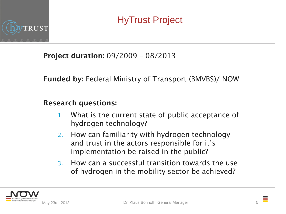

HyTrust Project

**Project duration:** 09/2009 – 08/2013

**Funded by:** Federal Ministry of Transport (BMVBS)/ NOW

#### **Research questions:**

- 1. What is the current state of public acceptance of hydrogen technology?
- 2. How can familiarity with hydrogen technology and trust in the actors responsible for it's implementation be raised in the public?
- 3. How can a successful transition towards the use of hydrogen in the mobility sector be achieved?



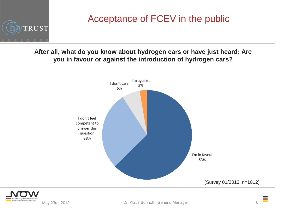

### Acceptance of FCEV in the public

**After all, what do you know about hydrogen cars or have just heard: Are you in favour or against the introduction of hydrogen cars?**



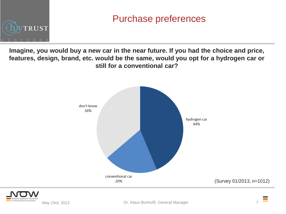

### Purchase preferences

**Imagine, you would buy a new car in the near future. If you had the choice and price, features, design, brand, etc. would be the same, would you opt for a hydrogen car or still for a conventional car?**



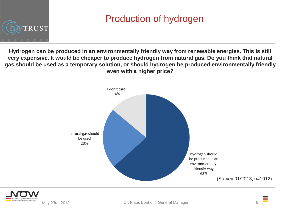

## Production of hydrogen

**Hydrogen can be produced in an environmentally friendly way from renewable energies. This is still very expensive. It would be cheaper to produce hydrogen from natural gas. Do you think that natural gas should be used as a temporary solution, or should hydrogen be produced environmentally friendly even with a higher price?**





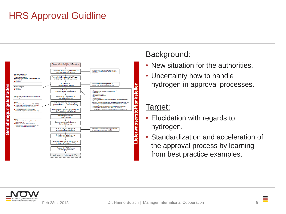### HRS Approval Guidline



#### Background:

- New situation for the authorities.
- Uncertainty how to handle hydrogen in approval processes.

#### Target:

- Elucidation with regards to hydrogen.
- Standardization and acceleration of the approval process by learning from best practice examples.